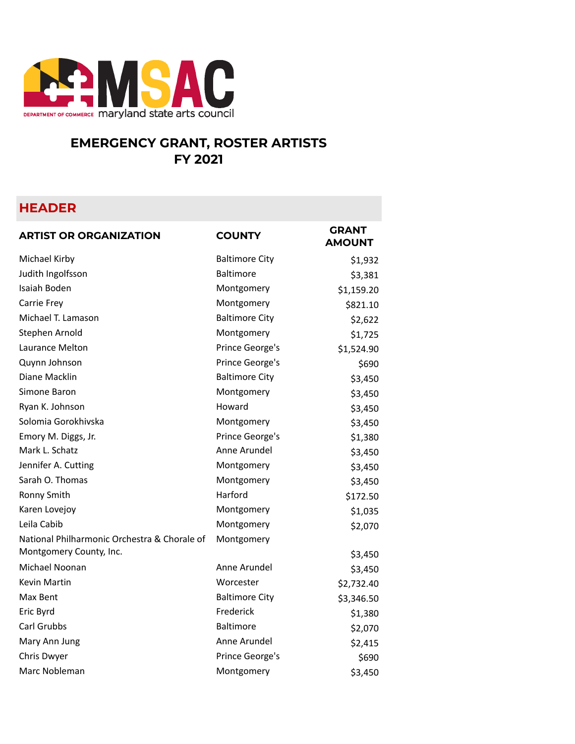

## **EMERGENCY GRANT, ROSTER ARTISTS FY 2021**

## **HEADER**

| <b>ARTIST OR ORGANIZATION</b>                | <b>COUNTY</b>         | <b>GRANT</b><br><b>AMOUNT</b> |
|----------------------------------------------|-----------------------|-------------------------------|
| Michael Kirby                                | <b>Baltimore City</b> | \$1,932                       |
| Judith Ingolfsson                            | <b>Baltimore</b>      | \$3,381                       |
| Isaiah Boden                                 | Montgomery            | \$1,159.20                    |
| Carrie Frey                                  | Montgomery            | \$821.10                      |
| Michael T. Lamason                           | <b>Baltimore City</b> | \$2,622                       |
| Stephen Arnold                               | Montgomery            | \$1,725                       |
| Laurance Melton                              | Prince George's       | \$1,524.90                    |
| Quynn Johnson                                | Prince George's       | \$690                         |
| Diane Macklin                                | <b>Baltimore City</b> | \$3,450                       |
| Simone Baron                                 | Montgomery            | \$3,450                       |
| Ryan K. Johnson                              | Howard                | \$3,450                       |
| Solomia Gorokhivska                          | Montgomery            | \$3,450                       |
| Emory M. Diggs, Jr.                          | Prince George's       | \$1,380                       |
| Mark L. Schatz                               | Anne Arundel          | \$3,450                       |
| Jennifer A. Cutting                          | Montgomery            | \$3,450                       |
| Sarah O. Thomas                              | Montgomery            | \$3,450                       |
| Ronny Smith                                  | Harford               | \$172.50                      |
| Karen Lovejoy                                | Montgomery            | \$1,035                       |
| Leila Cabib                                  | Montgomery            | \$2,070                       |
| National Philharmonic Orchestra & Chorale of | Montgomery            |                               |
| Montgomery County, Inc.                      |                       | \$3,450                       |
| Michael Noonan                               | Anne Arundel          | \$3,450                       |
| <b>Kevin Martin</b>                          | Worcester             | \$2,732.40                    |
| Max Bent                                     | <b>Baltimore City</b> | \$3,346.50                    |
| Eric Byrd                                    | Frederick             | \$1,380                       |
| Carl Grubbs                                  | <b>Baltimore</b>      | \$2,070                       |
| Mary Ann Jung                                | Anne Arundel          | \$2,415                       |
| Chris Dwyer                                  | Prince George's       | \$690                         |
| Marc Nobleman                                | Montgomery            | \$3,450                       |